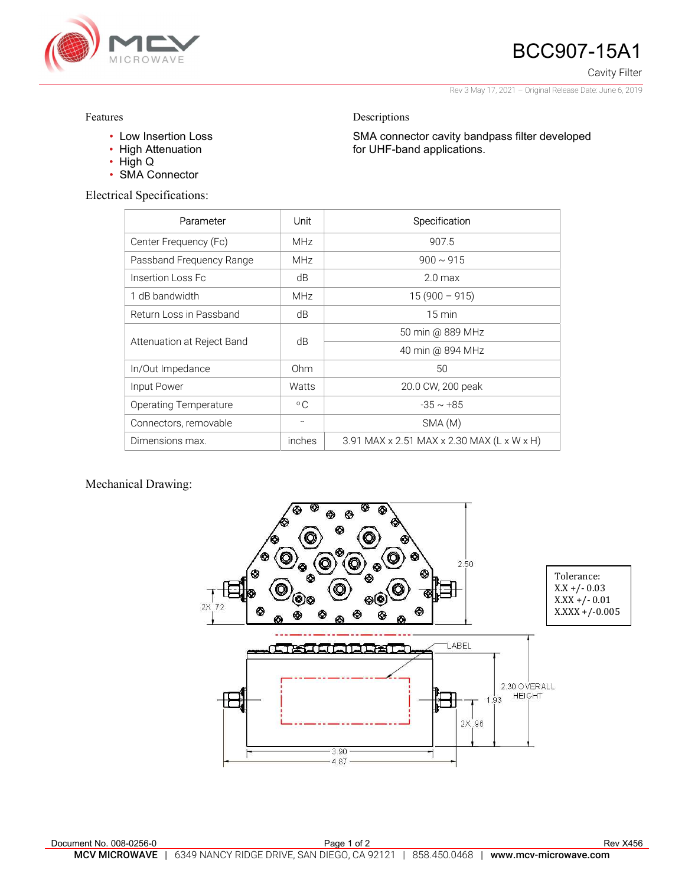

## BCC907-15A1

Cavity Filter

Rev 3 May 17, 2021 – Original Release Date: June 6, 2019

SMA connector cavity bandpass filter developed

Features

- Low Insertion Loss
- High Attenuation
- High Q
- SMA Connector

Electrical Specifications:

| Parameter                    | Unit         | Specification                              |
|------------------------------|--------------|--------------------------------------------|
| Center Frequency (Fc)        | <b>MHz</b>   | 907.5                                      |
| Passband Frequency Range     | <b>MHz</b>   | $900 \sim 915$                             |
| Insertion Loss Fc            | dB           | 2.0 <sub>max</sub>                         |
| 1 dB bandwidth               | <b>MHz</b>   | $15(900 - 915)$                            |
| Return Loss in Passband      | dB           | $15 \text{ min}$                           |
| Attenuation at Reject Band   | dB           | 50 min @ 889 MHz                           |
|                              |              | 40 min @ 894 MHz                           |
| In/Out Impedance             | Ohm          | 50                                         |
| Input Power                  | Watts        | 20.0 CW, 200 peak                          |
| <b>Operating Temperature</b> | $^{\circ}$ C | $-35 \sim +85$                             |
| Connectors, removable        |              | SMA (M)                                    |
| Dimensions max.              | inches       | 3.91 MAX x 2.51 MAX x 2.30 MAX (L x W x H) |

Descriptions

for UHF-band applications.

## Mechanical Drawing: